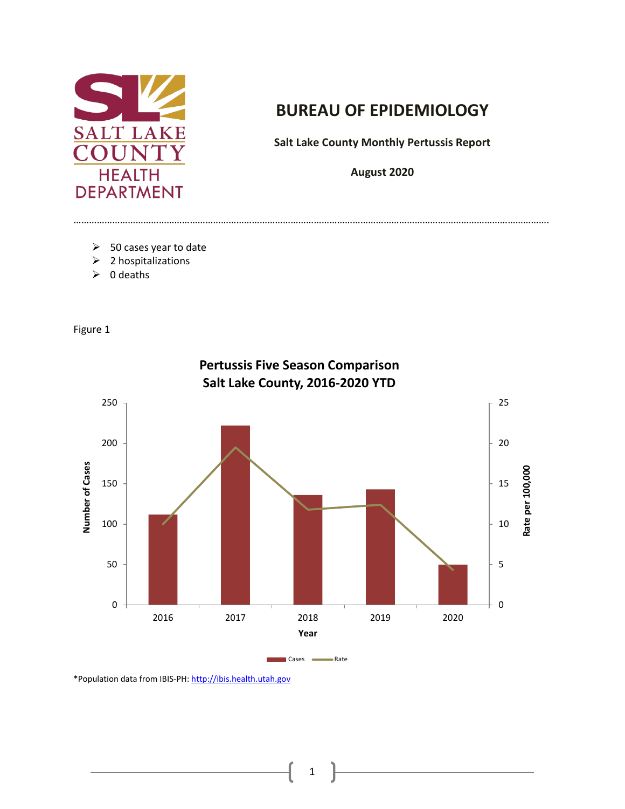

## **BUREAU OF EPIDEMIOLOGY**

**Salt Lake County Monthly Pertussis Report** 

**August 2020**

………………………………………………………………………………………………………………………………………………………………….

- $\triangleright$  50 cases year to date
- $\geq 2$  hospitalizations
- $\geqslant 0$  deaths

Figure 1



\*Population data from IBIS-PH[: http://ibis.health.utah.gov](http://ibis.health.utah.gov/) 

1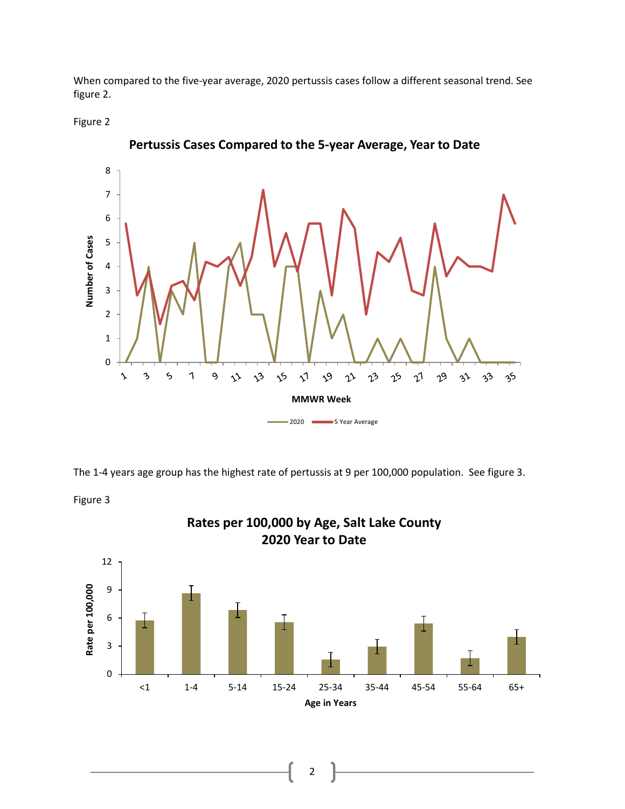When compared to the five-year average, 2020 pertussis cases follow a different seasonal trend. See figure 2.



Figure 3



**Pertussis Cases Compared to the 5-year Average, Year to Date**

The 1-4 years age group has the highest rate of pertussis at 9 per 100,000 population. See figure 3.



**Rates per 100,000 by Age, Salt Lake County 2020 Year to Date**

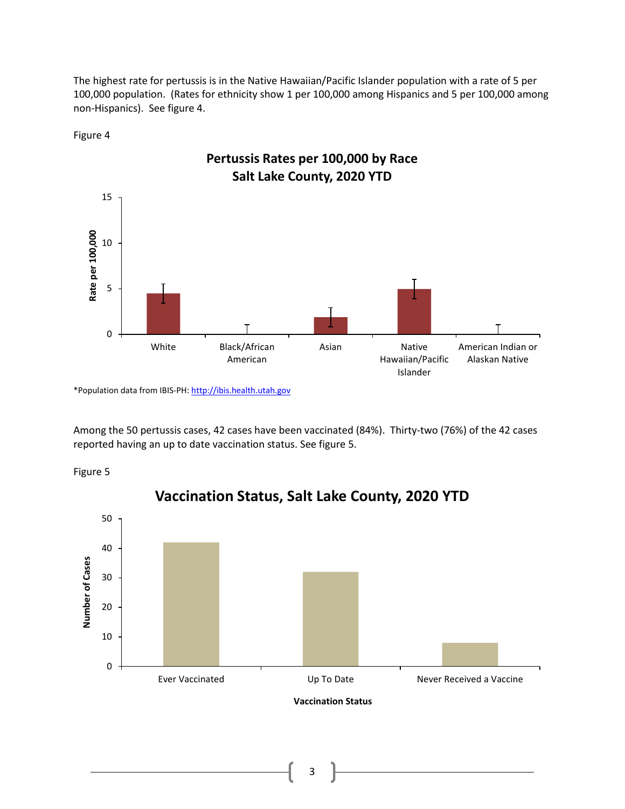The highest rate for pertussis is in the Native Hawaiian/Pacific Islander population with a rate of 5 per 100,000 population. (Rates for ethnicity show 1 per 100,000 among Hispanics and 5 per 100,000 among non-Hispanics). See figure 4.





\*Population data from IBIS-PH[: http://ibis.health.utah.gov](http://ibis.health.utah.gov/) 

Among the 50 pertussis cases, 42 cases have been vaccinated (84%). Thirty-two (76%) of the 42 cases reported having an up to date vaccination status. See figure 5.





**Vaccination Status, Salt Lake County, 2020 YTD**